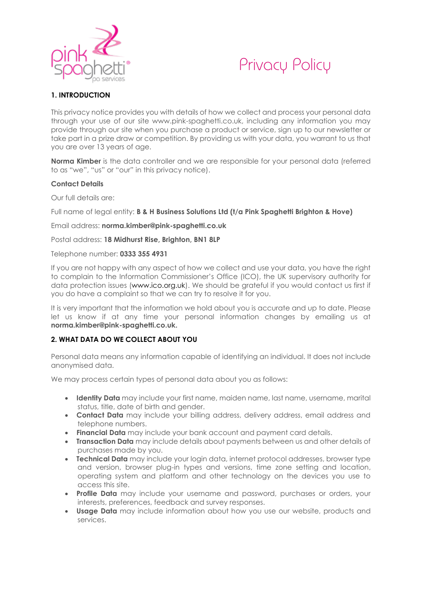



# **1. INTRODUCTION**

This privacy notice provides you with details of how we collect and process your personal data through your use of our site www.pink-spaghetti.co.uk, including any information you may provide through our site when you purchase a product or service, sign up to our newsletter or take part in a prize draw or competition. By providing us with your data, you warrant to us that you are over 13 years of age.

**Norma Kimber** is the data controller and we are responsible for your personal data (referred to as "we", "us" or "our" in this privacy notice).

#### **Contact Details**

Our full details are:

Full name of legal entity: **B & H Business Solutions Ltd (t/a Pink Spaghetti Brighton & Hove)**

#### Email address: **norma.kimber@pink-spaghetti.co.uk**

Postal address: **18 Midhurst Rise, Brighton, BN1 8LP**

#### Telephone number: **0333 355 4931**

If you are not happy with any aspect of how we collect and use your data, you have the right to complain to the Information Commissioner's Office (ICO), the UK supervisory authority for data protection issues [\(www.ico.org.uk\)](https://ico.org.uk/). We should be grateful if you would contact us first if you do have a complaint so that we can try to resolve it for you.

It is very important that the information we hold about you is accurate and up to date. Please let us know if at any time your personal information changes by emailing us at **norma.kimber@pink-spaghetti.co.uk.**

#### **2. WHAT DATA DO WE COLLECT ABOUT YOU**

Personal data means any information capable of identifying an individual. It does not include anonymised data.

We may process certain types of personal data about you as follows:

- **Identity Data** may include your first name, maiden name, last name, username, marital status, title, date of birth and gender.
- **Contact Data** may include your billing address, delivery address, email address and telephone numbers.
- **Financial Data** may include your bank account and payment card details.
- **Transaction Data** may include details about payments between us and other details of purchases made by you.
- **Technical Data** may include your login data, internet protocol addresses, browser type and version, browser plug-in types and versions, time zone setting and location, operating system and platform and other technology on the devices you use to access this site.
- **Profile Data** may include your username and password, purchases or orders, your interests, preferences, feedback and survey responses.
- **Usage Data** may include information about how you use our website, products and services.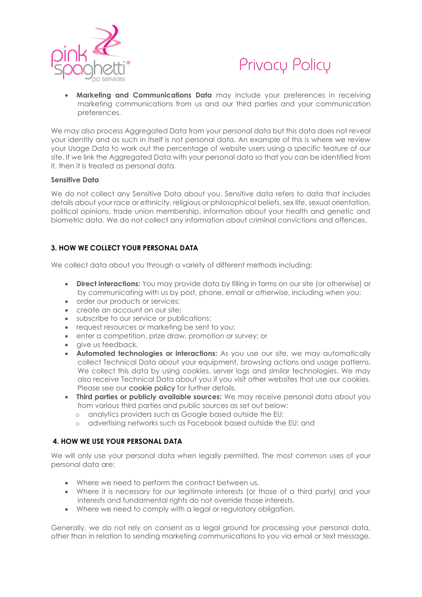



• **Marketing and Communications Data** may include your preferences in receiving marketing communications from us and our third parties and your communication preferences.

We may also process Aggregated Data from your personal data but this data does not reveal your identity and as such in itself is not personal data. An example of this is where we review your Usage Data to work out the percentage of website users using a specific feature of our site. If we link the Aggregated Data with your personal data so that you can be identified from it, then it is treated as personal data.

#### **Sensitive Data**

We do not collect any Sensitive Data about you. Sensitive data refers to data that includes details about your race or ethnicity, religious or philosophical beliefs, sex life, sexual orientation, political opinions, trade union membership, information about your health and genetic and biometric data. We do not collect any information about criminal convictions and offences.

## **3. HOW WE COLLECT YOUR PERSONAL DATA**

We collect data about you through a variety of different methods including:

- **Direct interactions:** You may provide data by filling in forms on our site (or otherwise) or by communicating with us by post, phone, email or otherwise, including when you:
- order our products or services;
- create an account on our site;
- subscribe to our service or publications;
- request resources or marketing be sent to you;
- enter a competition, prize draw, promotion or survey; or
- give us feedback.
- **Automated technologies or interactions:** As you use our site, we may automatically collect Technical Data about your equipment, browsing actions and usage patterns. We collect this data by using cookies, server logs and similar technologies. We may also receive Technical Data about you if you visit other websites that use our cookies. Please see our [cookie policy](https://www.pink-spaghetti.co.uk/cookie-policy/) for further details.
- **Third parties or publicly available sources:** We may receive personal data about you from various third parties and public sources as set out below:
	- o analytics providers such as Google based outside the EU;
	- o advertising networks such as Facebook based outside the EU; and

## **4. HOW WE USE YOUR PERSONAL DATA**

We will only use your personal data when legally permitted. The most common uses of your personal data are:

- Where we need to perform the contract between us.
- Where it is necessary for our legitimate interests (or those of a third party) and your interests and fundamental rights do not override those interests.
- Where we need to comply with a legal or regulatory obligation.

Generally, we do not rely on consent as a legal ground for processing your personal data, other than in relation to sending marketing communications to you via email or text message.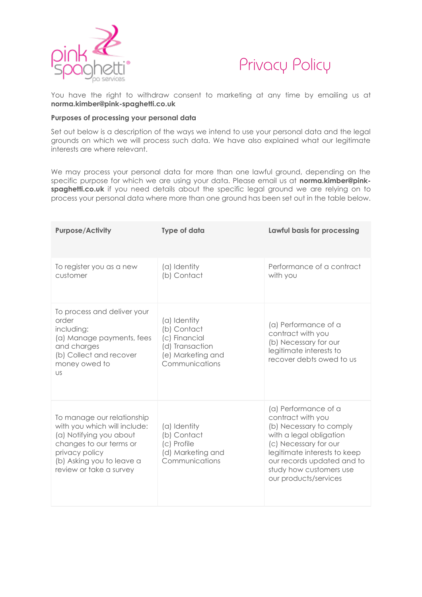



You have the right to withdraw consent to marketing at any time by emailing us at **norma.kimber@pink-spaghetti.co.uk**

#### **Purposes of processing your personal data**

Set out below is a description of the ways we intend to use your personal data and the legal grounds on which we will process such data. We have also explained what our legitimate interests are where relevant.

We may process your personal data for more than one lawful ground, depending on the specific purpose for which we are using your data. Please email us at **norma.kimber@pinkspaghetti.co.uk** if you need details about the specific legal ground we are relying on to process your personal data where more than one ground has been set out in the table below.

| <b>Purpose/Activity</b>                                                                                                                                                                    | <b>Type of data</b>                                                                                    | Lawful basis for processing                                                                                                                                                                                                                |
|--------------------------------------------------------------------------------------------------------------------------------------------------------------------------------------------|--------------------------------------------------------------------------------------------------------|--------------------------------------------------------------------------------------------------------------------------------------------------------------------------------------------------------------------------------------------|
| To register you as a new<br>customer                                                                                                                                                       | (a) Identity<br>(b) Contact                                                                            | Performance of a contract<br>with you                                                                                                                                                                                                      |
| To process and deliver your<br>order<br>including:<br>(a) Manage payments, fees<br>and charges<br>(b) Collect and recover<br>money owed to<br>US                                           | (a) Identity<br>(b) Contact<br>(c) Financial<br>(d) Transaction<br>(e) Marketing and<br>Communications | (a) Performance of a<br>contract with you<br>(b) Necessary for our<br>legitimate interests to<br>recover debts owed to us                                                                                                                  |
| To manage our relationship<br>with you which will include:<br>(a) Notifying you about<br>changes to our terms or<br>privacy policy<br>(b) Asking you to leave a<br>review or take a survey | (a) Identity<br>(b) Contact<br>(c) Profile<br>(d) Marketing and<br>Communications                      | (a) Performance of a<br>contract with you<br>(b) Necessary to comply<br>with a legal obligation<br>(c) Necessary for our<br>legitimate interests to keep<br>our records updated and to<br>study how customers use<br>our products/services |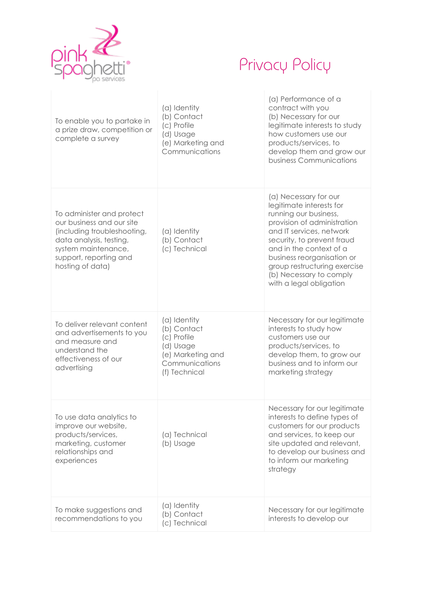

# Privacy Policy

| To enable you to partake in<br>a prize draw, competition or<br>complete a survey                                                                                                      | (a) Identity<br>(b) Contact<br>(c) Profile<br>(d) Usage<br>(e) Marketing and<br>Communications                  | (a) Performance of a<br>contract with you<br>(b) Necessary for our<br>legitimate interests to study<br>how customers use our<br>products/services, to<br>develop them and grow our<br>business Communications                                                                                                      |
|---------------------------------------------------------------------------------------------------------------------------------------------------------------------------------------|-----------------------------------------------------------------------------------------------------------------|--------------------------------------------------------------------------------------------------------------------------------------------------------------------------------------------------------------------------------------------------------------------------------------------------------------------|
| To administer and protect<br>our business and our site<br>(including troubleshooting,<br>data analysis, testing,<br>system maintenance,<br>support, reporting and<br>hosting of data) | (a) Identity<br>(b) Contact<br>(c) Technical                                                                    | (a) Necessary for our<br>legitimate interests for<br>running our business,<br>provision of administration<br>and IT services, network<br>security, to prevent fraud<br>and in the context of a<br>business reorganisation or<br>group restructuring exercise<br>(b) Necessary to comply<br>with a legal obligation |
| To deliver relevant content<br>and advertisements to you<br>and measure and<br>understand the<br>effectiveness of our<br>advertising                                                  | (a) Identity<br>(b) Contact<br>(c) Profile<br>(d) Usage<br>(e) Marketing and<br>Communications<br>(f) Technical | Necessary for our legitimate<br>interests to study how<br>customers use our<br>products/services, to<br>develop them, to grow our<br>business and to inform our<br>marketing strategy                                                                                                                              |
| To use data analytics to<br>improve our website,<br>products/services,<br>marketing, customer<br>relationships and<br>experiences                                                     | (a) Technical<br>(b) Usage                                                                                      | Necessary for our legitimate<br>interests to define types of<br>customers for our products<br>and services, to keep our<br>site updated and relevant,<br>to develop our business and<br>to inform our marketing<br>strategy                                                                                        |
| To make suggestions and<br>recommendations to you                                                                                                                                     | (a) Identity<br>(b) Contact<br>(c) Technical                                                                    | Necessary for our legitimate<br>interests to develop our                                                                                                                                                                                                                                                           |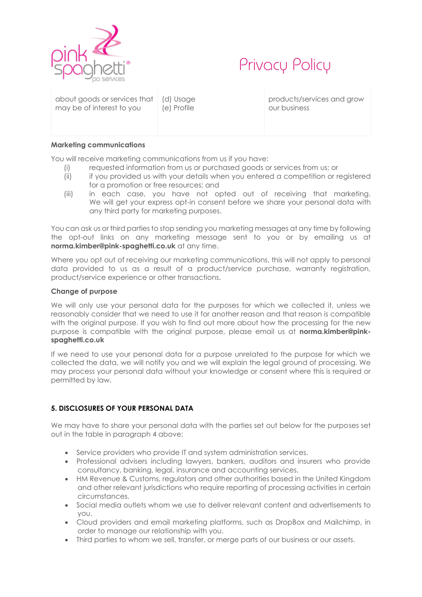



| about goods or services that   (d) Usage<br>may be of interest to you | (e) Profile |
|-----------------------------------------------------------------------|-------------|
|                                                                       |             |

products/services and grow our business

#### **Marketing communications**

You will receive marketing communications from us if you have:

- (i) requested information from us or purchased goods or services from us; or
- (ii) if you provided us with your details when you entered a competition or registered for a promotion or free resources; and
- (iii) in each case, you have not opted out of receiving that marketing. We will get your express opt-in consent before we share your personal data with any third party for marketing purposes.

You can ask us or third parties to stop sending you marketing messages at any time by following the opt-out links on any marketing message sent to you or by emailing us at **norma.kimber@pink-spaghetti.co.uk** at any time.

Where you opt out of receiving our marketing communications, this will not apply to personal data provided to us as a result of a product/service purchase, warranty registration, product/service experience or other transactions.

#### **Change of purpose**

We will only use your personal data for the purposes for which we collected it, unless we reasonably consider that we need to use it for another reason and that reason is compatible with the original purpose. If you wish to find out more about how the processing for the new purpose is compatible with the original purpose, please email us at **norma.kimber@pinkspaghetti.co.uk**

If we need to use your personal data for a purpose unrelated to the purpose for which we collected the data, we will notify you and we will explain the legal ground of processing. We may process your personal data without your knowledge or consent where this is required or permitted by law.

# **5. DISCLOSURES OF YOUR PERSONAL DATA**

We may have to share your personal data with the parties set out below for the purposes set out in the table in paragraph 4 above:

- Service providers who provide IT and system administration services.
- Professional advisers including lawyers, bankers, auditors and insurers who provide consultancy, banking, legal, insurance and accounting services.
- HM Revenue & Customs, regulators and other authorities based in the United Kingdom and other relevant jurisdictions who require reporting of processing activities in certain circumstances.
- Social media outlets whom we use to deliver relevant content and advertisements to you.
- Cloud providers and email marketing platforms, such as DropBox and Mailchimp, in order to manage our relationship with you.
- Third parties to whom we sell, transfer, or merge parts of our business or our assets.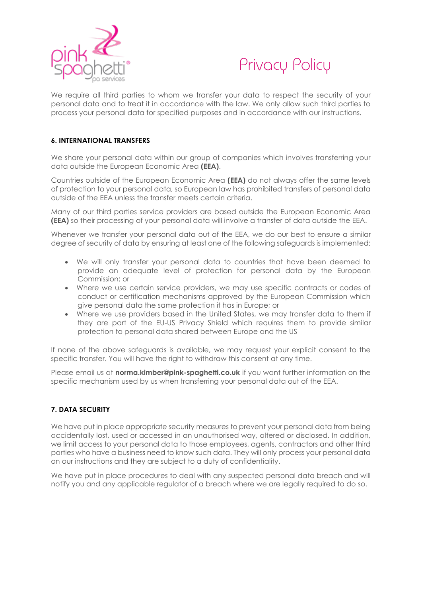



We require all third parties to whom we transfer your data to respect the security of your personal data and to treat it in accordance with the law. We only allow such third parties to process your personal data for specified purposes and in accordance with our instructions.

### **6. INTERNATIONAL TRANSFERS**

We share your personal data within our group of companies which involves transferring your data outside the European Economic Area **(EEA)**.

Countries outside of the European Economic Area **(EEA)** do not always offer the same levels of protection to your personal data, so European law has prohibited transfers of personal data outside of the EEA unless the transfer meets certain criteria.

Many of our third parties service providers are based outside the European Economic Area **(EEA)** so their processing of your personal data will involve a transfer of data outside the EEA.

Whenever we transfer your personal data out of the EEA, we do our best to ensure a similar degree of security of data by ensuring at least one of the following safeguards is implemented:

- We will only transfer your personal data to countries that have been deemed to provide an adequate level of protection for personal data by the European Commission; or
- Where we use certain service providers, we may use specific contracts or codes of conduct or certification mechanisms approved by the European Commission which give personal data the same protection it has in Europe; or
- Where we use providers based in the United States, we may transfer data to them if they are part of the EU-US Privacy Shield which requires them to provide similar protection to personal data shared between Europe and the US

If none of the above safeguards is available, we may request your explicit consent to the specific transfer. You will have the right to withdraw this consent at any time.

Please email us at **norma.kimber@pink-spaghetti.co.uk** if you want further information on the specific mechanism used by us when transferring your personal data out of the EEA.

## **7. DATA SECURITY**

We have put in place appropriate security measures to prevent your personal data from being accidentally lost, used or accessed in an unauthorised way, altered or disclosed. In addition, we limit access to your personal data to those employees, agents, contractors and other third parties who have a business need to know such data. They will only process your personal data on our instructions and they are subject to a duty of confidentiality.

We have put in place procedures to deal with any suspected personal data breach and will notify you and any applicable regulator of a breach where we are legally required to do so.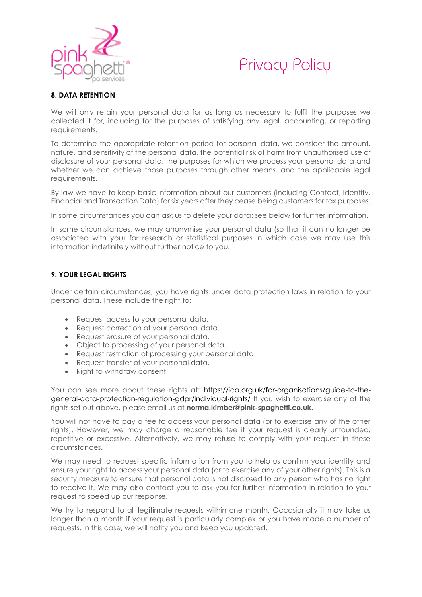



# **8. DATA RETENTION**

We will only retain your personal data for as long as necessary to fulfil the purposes we collected it for, including for the purposes of satisfying any legal, accounting, or reporting requirements.

To determine the appropriate retention period for personal data, we consider the amount, nature, and sensitivity of the personal data, the potential risk of harm from unauthorised use or disclosure of your personal data, the purposes for which we process your personal data and whether we can achieve those purposes through other means, and the applicable legal requirements.

By law we have to keep basic information about our customers (including Contact, Identity, Financial and Transaction Data) for six years after they cease being customers for tax purposes.

In some circumstances you can ask us to delete your data: see below for further information.

In some circumstances, we may anonymise your personal data (so that it can no longer be associated with you) for research or statistical purposes in which case we may use this information indefinitely without further notice to you.

# **9. YOUR LEGAL RIGHTS**

Under certain circumstances, you have rights under data protection laws in relation to your personal data. These include the right to:

- Request access to your personal data.
- Request correction of your personal data.
- Request erasure of your personal data.
- Object to processing of your personal data.
- Request restriction of processing your personal data.
- Request transfer of your personal data.
- Right to withdraw consent.

You can see more about these rights at: [https://ico.org.uk/for-organisations/guide-to-the](https://ico.org.uk/for-organisations/guide-to-the-general-data-protection-regulation-gdpr/individual-rights/)[general-data-protection-regulation-gdpr/individual-rights/](https://ico.org.uk/for-organisations/guide-to-the-general-data-protection-regulation-gdpr/individual-rights/) If you wish to exercise any of the rights set out above, please email us at **norma.kimber@pink-spaghetti.co.uk.**

You will not have to pay a fee to access your personal data (or to exercise any of the other rights). However, we may charge a reasonable fee if your request is clearly unfounded, repetitive or excessive. Alternatively, we may refuse to comply with your request in these circumstances.

We may need to request specific information from you to help us confirm your identity and ensure your right to access your personal data (or to exercise any of your other rights). This is a security measure to ensure that personal data is not disclosed to any person who has no right to receive it. We may also contact you to ask you for further information in relation to your request to speed up our response.

We try to respond to all legitimate requests within one month. Occasionally it may take us longer than a month if your request is particularly complex or you have made a number of requests. In this case, we will notify you and keep you updated.